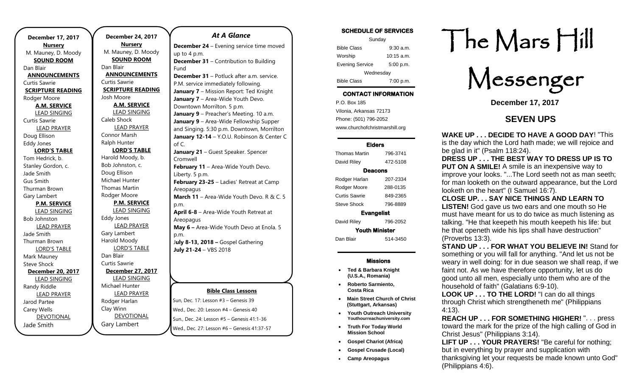| <b>December 17, 2017</b> |  |  |
|--------------------------|--|--|
| <b>Nursery</b>           |  |  |
| M. Mauney, D. Moody      |  |  |
| <b>SOUND ROOM</b>        |  |  |
| Dan Blair                |  |  |
| <b>ANNOUNCEMENTS</b>     |  |  |
| Curtis Sawrie            |  |  |
| <b>SCRIPTURE READING</b> |  |  |
| Rodger Moore             |  |  |
| <b>A.M. SERVICE</b>      |  |  |
| <b>LEAD SINGING</b>      |  |  |
| Curtis Sawrie            |  |  |
| <b>LEAD PRAYER</b>       |  |  |
| Doug Ellison             |  |  |
| <b>Eddy Jones</b>        |  |  |
| <b>LORD'S TABLE</b>      |  |  |
| Tom Hedrick, b.          |  |  |
| Stanley Gordon, c.       |  |  |
| Jade Smith               |  |  |
| <b>Gus Smith</b>         |  |  |
| Thurman Brown            |  |  |
| Gary Lambert             |  |  |
| <b>P.M. SERVICE</b>      |  |  |
| <b>LEAD SINGING</b>      |  |  |
| <b>Bob Johnston</b>      |  |  |
| <b>LEAD PRAYER</b>       |  |  |
| Jade Smith               |  |  |
| Thurman Brown            |  |  |
| <b>LORD'S TABLE</b>      |  |  |
| Mark Mauney              |  |  |
| <b>Steve Shock</b>       |  |  |
| December 20, 2017        |  |  |
| <b>LEAD SINGING</b>      |  |  |
| Randy Riddle             |  |  |
| <b>LEAD PRAYER</b>       |  |  |
| Jarod Partee             |  |  |
| Carey Wells              |  |  |
| <b>DEVOTIONAL</b>        |  |  |
| Jade Smith               |  |  |

**December 24, 2017 Nursery** M. Mauney, D. Moody **SOUND ROOM** Dan Blair **ANNOUNCEMENTS** Curtis Sawrie **SCRIPTURE READING** Josh Moore **A.M. SERVICE** LEAD SINGING Caleb Shock LEAD PRAYER Connor Marsh Ralph Hunter **LORD'S TABLE** Harold Moody, b. Bob Johnston, c. Doug Ellison Michael Hunter Thomas Martin Rodger Moore **P.M. SERVICE** LEAD SINGING Eddy Jones LEAD PRAYER Gary Lambert Harold Moody LORD'S TABLE Dan Blair Curtis Sawrie **December 27, 2017** LEAD SINGING Michael Hunter LEAD PRAYER Rodger Harlan Clay Winn DEVOTIONAL

Gary Lambert

### *At A Glance*

**December 24** – Evening service time moved up to 4 p.m. **December 31** – Contribution to Building Fund

**December 31** – Potluck after a.m. service. P.M. service immediately following. **January 7** – Mission Report: Ted Knight **January 7** – Area-Wide Youth Devo. Downtown Morrilton. 5 p.m. **January 9** – Preacher's Meeting. 10 a.m. **January 9** – Area-Wide Fellowship Supper and Singing. 5:30 p.m. Downtown, Morrilton **January 12-14** – Y.O.U. Robinson & Center C of C. **January 21** – Guest Speaker. Spencer Cromwell **February 11 - Area-Wide Youth Devo.** Liberty. 5 p.m. **February 23-25** – Ladies' Retreat at Camp Areopagus **March 11** – Area-Wide Youth Devo. R & C. 5

p.m. **April 6-8** – Area-Wide Youth Retreat at Areopagus **May 6 –** Area-Wide Youth Devo at Enola. 5

p.m. J**uly 8-13, 2018 –** Gospel Gathering **July 21-24** – VBS 2018

#### **Bible Class Lessons**

Sun, Dec. 17: Lesson #3 – Genesis 39 Wed., Dec. 20: Lesson #4 – Genesis 40 Sun., Dec. 24: Lesson #5 – Genesis 41:1-36 Wed., Dec. 27: Lesson #6 – Genesis 41:37-57

### SCHEDULE OF SERVICES

| Sunday                 |              |  |
|------------------------|--------------|--|
| <b>Bible Class</b>     | $9:30$ a.m.  |  |
| Worship                | $10:15$ a.m. |  |
| <b>Evening Service</b> | 5:00 p.m.    |  |
| Wednesday              |              |  |
| <b>Bible Class</b>     | 7:00 p.m.    |  |

## CONTACT INFORMATION

. .o. Box 166<br>Vilonia, Arkansas 72173 P.O. Box 185 Phone: (501) 796-2052 www.churchofchristmarshill.org

### Elders

| 796-3741              |  |  |
|-----------------------|--|--|
| 472-5108              |  |  |
| Deacons               |  |  |
| 207-2334              |  |  |
| 288-0135              |  |  |
| 849-2365              |  |  |
| 796-8889              |  |  |
| <b>Evangelist</b>     |  |  |
| 796-2052              |  |  |
| <b>Youth Minister</b> |  |  |
| 514-3450              |  |  |
|                       |  |  |

### Missions

- **Ted & Barbara Knight (U.S.A., Romania)**
- **Roberto Sarmiento, Costa Rica**
- **Main Street Church of Christ (Stuttgart, Arkansas)**
- **Youth Outreach University Youthourreachuniversity.com**
- **Truth For Today World Mission School**
- **Gospel Chariot (Africa)**
- **Gospel Crusade (Local)**
- **Camp Areopagus**

# The Mars Hill

Messenger

**December 17, 2017**

## **SEVEN UPS**

2. **WAKE UP . . . DECIDE TO HAVE A GOOD DAY**! "This is the day which the Lord hath made; we will rejoice and be glad in it" (Psalm 118:24).

3. **DRESS UP . . . THE BEST WAY TO DRESS UP IS TO PUT ON A SMILE!** A smile is an inexpensive way to improve your looks. "...The Lord seeth not as man seeth; for man looketh on the outward appearance, but the Lord looketh on the heart" (I Samuel 16:7).

4. **CLOSE UP. . . SAY NICE THINGS AND LEARN TO LISTEN!** God gave us two ears and one mouth so He must have meant for us to do twice as much listening as talking. "He that keepeth his mouth keepeth his life: but he that openeth wide his lips shall have destruction" (Proverbs 13:3).

**STAND UP . . . FOR WHAT YOU BELIEVE IN! Stand for** something or you will fall for anything. "And let us not be weary in well doing: for in due season we shall reap, if we faint not. As we have therefore opportunity, let us do good unto all men, especially unto them who are of the household of faith" (Galatians 6:9-10).

6. **LOOK UP . . . TO THE LORD!** "I can do all things through Christ which strengtheneth me" (Philippians 4:13).

7. **REACH UP . . . FOR SOMETHING HIGHER!** ". . . press toward the mark for the prize of the high calling of God in Christ Jesus" (Philippians 3:14).

**LIFT UP . . . YOUR PRAYERS!** "Be careful for nothing; but in everything by prayer and supplication with thanksgiving let your requests be made known unto God" (Philippians 4:6).